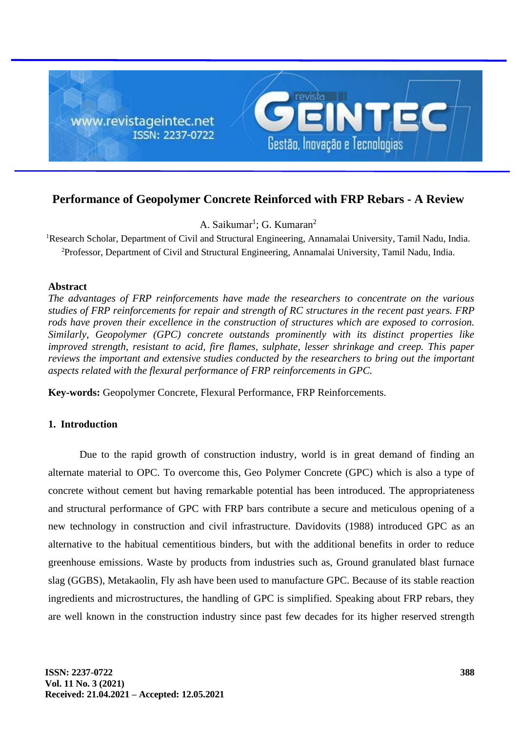

# **Performance of Geopolymer Concrete Reinforced with FRP Rebars - A Review**

A. Saikumar<sup>1</sup>; G. Kumaran<sup>2</sup>

<sup>1</sup>Research Scholar, Department of Civil and Structural Engineering, Annamalai University, Tamil Nadu, India. <sup>2</sup>Professor, Department of Civil and Structural Engineering, Annamalai University, Tamil Nadu, India.

### **Abstract**

*The advantages of FRP reinforcements have made the researchers to concentrate on the various studies of FRP reinforcements for repair and strength of RC structures in the recent past years. FRP rods have proven their excellence in the construction of structures which are exposed to corrosion. Similarly, Geopolymer (GPC) concrete outstands prominently with its distinct properties like improved strength, resistant to acid, fire flames, sulphate, lesser shrinkage and creep. This paper reviews the important and extensive studies conducted by the researchers to bring out the important aspects related with the flexural performance of FRP reinforcements in GPC.*

**Key-words:** Geopolymer Concrete, Flexural Performance, FRP Reinforcements.

## **1. Introduction**

Due to the rapid growth of construction industry, world is in great demand of finding an alternate material to OPC. To overcome this, Geo Polymer Concrete (GPC) which is also a type of concrete without cement but having remarkable potential has been introduced. The appropriateness and structural performance of GPC with FRP bars contribute a secure and meticulous opening of a new technology in construction and civil infrastructure. Davidovits (1988) introduced GPC as an alternative to the habitual cementitious binders, but with the additional benefits in order to reduce greenhouse emissions. Waste by products from industries such as, Ground granulated blast furnace slag (GGBS), Metakaolin, Fly ash have been used to manufacture GPC. Because of its stable reaction ingredients and microstructures, the handling of GPC is simplified. Speaking about FRP rebars, they are well known in the construction industry since past few decades for its higher reserved strength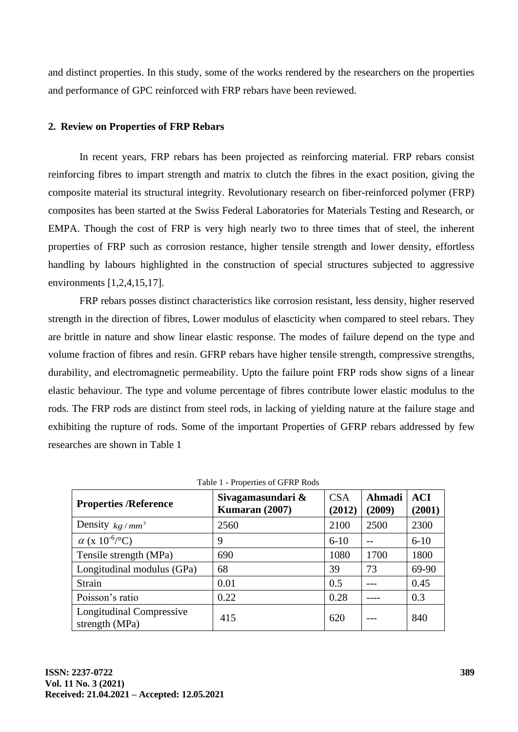and distinct properties. In this study, some of the works rendered by the researchers on the properties and performance of GPC reinforced with FRP rebars have been reviewed.

### **2. Review on Properties of FRP Rebars**

In recent years, FRP rebars has been projected as reinforcing material. FRP rebars consist reinforcing fibres to impart strength and matrix to clutch the fibres in the exact position, giving the composite material its structural integrity. Revolutionary research on fiber-reinforced polymer (FRP) composites has been started at the Swiss Federal Laboratories for Materials Testing and Research, or EMPA. Though the cost of FRP is very high nearly two to three times that of steel, the inherent properties of FRP such as corrosion restance, higher tensile strength and lower density, effortless handling by labours highlighted in the construction of special structures subjected to aggressive environments [1,2,4,15,17].

FRP rebars posses distinct characteristics like corrosion resistant, less density, higher reserved strength in the direction of fibres, Lower modulus of elascticity when compared to steel rebars. They are brittle in nature and show linear elastic response. The modes of failure depend on the type and volume fraction of fibres and resin. GFRP rebars have higher tensile strength, compressive strengths, durability, and electromagnetic permeability. Upto the failure point FRP rods show signs of a linear elastic behaviour. The type and volume percentage of fibres contribute lower elastic modulus to the rods. The FRP rods are distinct from steel rods, in lacking of yielding nature at the failure stage and exhibiting the rupture of rods. Some of the important Properties of GFRP rebars addressed by few researches are shown in Table 1

| $\frac{1}{2}$ . The position of $\frac{1}{2}$ . The state $\frac{1}{2}$ |                                     |                      |                  |                      |  |  |  |  |  |
|-------------------------------------------------------------------------|-------------------------------------|----------------------|------------------|----------------------|--|--|--|--|--|
| <b>Properties /Reference</b>                                            | Sivagamasundari &<br>Kumaran (2007) | <b>CSA</b><br>(2012) | Ahmadi<br>(2009) | <b>ACI</b><br>(2001) |  |  |  |  |  |
| Density $kg/mm^3$                                                       | 2560                                | 2100                 | 2500             | 2300                 |  |  |  |  |  |
| $\alpha$ (x 10 <sup>-6</sup> /°C)                                       | 9                                   | $6 - 10$             |                  | $6-10$               |  |  |  |  |  |
| Tensile strength (MPa)                                                  | 690                                 | 1080                 | 1700             | 1800                 |  |  |  |  |  |
| Longitudinal modulus (GPa)                                              | 68                                  | 39                   | 73               | 69-90                |  |  |  |  |  |
| <b>Strain</b>                                                           | 0.01                                | 0.5                  |                  | 0.45                 |  |  |  |  |  |
| Poisson's ratio                                                         | 0.22                                | 0.28                 |                  | 0.3                  |  |  |  |  |  |
| <b>Longitudinal Compressive</b><br>strength (MPa)                       | 415                                 | 620                  |                  | 840                  |  |  |  |  |  |

Table 1 - Properties of GFRP Rods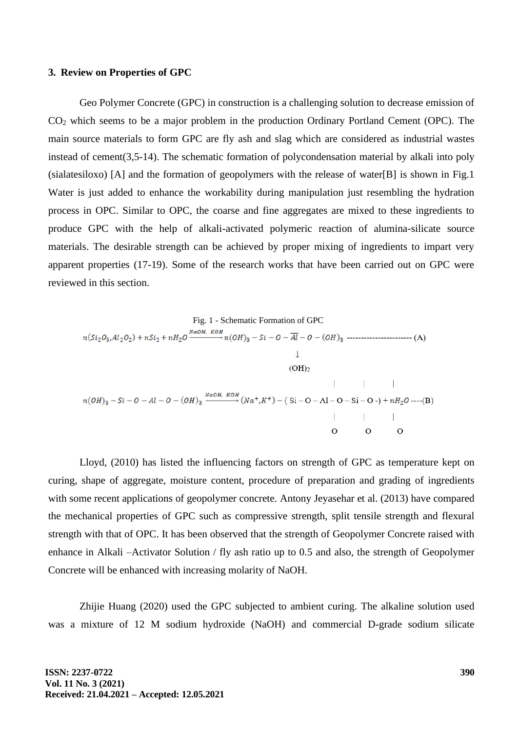#### **3. Review on Properties of GPC**

Geo Polymer Concrete (GPC) in construction is a challenging solution to decrease emission of CO<sup>2</sup> which seems to be a major problem in the production Ordinary Portland Cement (OPC). The main source materials to form GPC are fly ash and slag which are considered as industrial wastes instead of cement(3,5-14). The schematic formation of polycondensation material by alkali into poly (sialatesiloxo) [A] and the formation of geopolymers with the release of water[B] is shown in Fig.1 Water is just added to enhance the workability during manipulation just resembling the hydration process in OPC. Similar to OPC, the coarse and fine aggregates are mixed to these ingredients to produce GPC with the help of alkali-activated polymeric reaction of alumina-silicate source materials. The desirable strength can be achieved by proper mixing of ingredients to impart very apparent properties (17-19). Some of the research works that have been carried out on GPC were reviewed in this section.

Fig. 1 - Schematic Formation of GPC  
\n
$$
n(Si_2O_5, Al_2O_2) + nSi_2 + nH_2O \xrightarrow{NaOH, KOH} n(OH)_3 - Si - O - \overline{Al} - O - (OH)_3
$$
 (OH)  
\n $(OH)_2$   
\n $n(OH)_3 - Si - O - Al - O - (OH)_3 \xrightarrow{NaOH, KOH} (Na^+, K^+) - (Si - O - Al - O - Si - O -) + nH_2O$  ----(B)  
\n $\downarrow$   
\nO O

Lloyd, (2010) has listed the influencing factors on strength of GPC as temperature kept on curing, shape of aggregate, moisture content, procedure of preparation and grading of ingredients with some recent applications of geopolymer concrete. Antony Jeyasehar et al. (2013) have compared the mechanical properties of GPC such as compressive strength, split tensile strength and flexural strength with that of OPC. It has been observed that the strength of Geopolymer Concrete raised with enhance in Alkali –Activator Solution / fly ash ratio up to 0.5 and also, the strength of Geopolymer Concrete will be enhanced with increasing molarity of NaOH.

Zhijie Huang (2020) used the GPC subjected to ambient curing. The alkaline solution used was a mixture of 12 M sodium hydroxide (NaOH) and commercial D-grade sodium silicate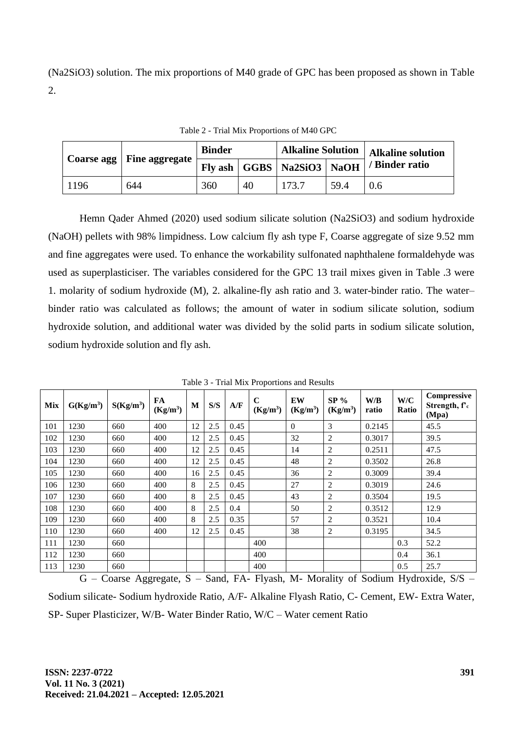(Na2SiO3) solution. The mix proportions of M40 grade of GPC has been proposed as shown in Table 2.

|      | Coarse agg   Fine aggregate | <b>Binder</b> |    | Alkaline Solution   Alkaline solution                 |      |                |  |
|------|-----------------------------|---------------|----|-------------------------------------------------------|------|----------------|--|
|      |                             |               |    | $\mid$ Fly ash $\mid$ GGBS $\mid$ Na2SiO3 $\mid$ NaOH |      | / Binder ratio |  |
| 1196 | 644                         | 360           | 40 | 173.7                                                 | 59.4 | 0.6            |  |

Table 2 - Trial Mix Proportions of M40 GPC

Hemn Qader Ahmed (2020) used sodium silicate solution (Na2SiO3) and sodium hydroxide (NaOH) pellets with 98% limpidness. Low calcium fly ash type F, Coarse aggregate of size 9.52 mm and fine aggregates were used. To enhance the workability sulfonated naphthalene formaldehyde was used as superplasticiser. The variables considered for the GPC 13 trail mixes given in Table .3 were 1. molarity of sodium hydroxide (M), 2. alkaline-fly ash ratio and 3. water-binder ratio. The water– binder ratio was calculated as follows; the amount of water in sodium silicate solution, sodium hydroxide solution, and additional water was divided by the solid parts in sodium silicate solution, sodium hydroxide solution and fly ash.

| <b>Mix</b> | $G(Kg/m^3)$ | $S(Kg/m^3)$ | FA<br>$(Kg/m^3)$ | M  | S/S | A/F  | $\mathbf C$<br>$(Kg/m^3)$ | EW<br>$(Kg/m^3)$ | $SP\%$<br>(Kg/m <sup>3</sup> ) | W/B<br>ratio | W/C<br>Ratio | Compressive<br>Strength, f'c<br>(Mpa) |
|------------|-------------|-------------|------------------|----|-----|------|---------------------------|------------------|--------------------------------|--------------|--------------|---------------------------------------|
| 101        | 1230        | 660         | 400              | 12 | 2.5 | 0.45 |                           | $\Omega$         | 3                              | 0.2145       |              | 45.5                                  |
| 102        | 1230        | 660         | 400              | 12 | 2.5 | 0.45 |                           | 32               | 2                              | 0.3017       |              | 39.5                                  |
| 103        | 1230        | 660         | 400              | 12 | 2.5 | 0.45 |                           | 14               | 2                              | 0.2511       |              | 47.5                                  |
| 104        | 1230        | 660         | 400              | 12 | 2.5 | 0.45 |                           | 48               | 2                              | 0.3502       |              | 26.8                                  |
| 105        | 1230        | 660         | 400              | 16 | 2.5 | 0.45 |                           | 36               | 2                              | 0.3009       |              | 39.4                                  |
| 106        | 1230        | 660         | 400              | 8  | 2.5 | 0.45 |                           | 27               | 2                              | 0.3019       |              | 24.6                                  |
| 107        | 1230        | 660         | 400              | 8  | 2.5 | 0.45 |                           | 43               | 2                              | 0.3504       |              | 19.5                                  |
| 108        | 1230        | 660         | 400              | 8  | 2.5 | 0.4  |                           | 50               | 2                              | 0.3512       |              | 12.9                                  |
| 109        | 1230        | 660         | 400              | 8  | 2.5 | 0.35 |                           | 57               | 2                              | 0.3521       |              | 10.4                                  |
| 110        | 1230        | 660         | 400              | 12 | 2.5 | 0.45 |                           | 38               | 2                              | 0.3195       |              | 34.5                                  |
| 111        | 1230        | 660         |                  |    |     |      | 400                       |                  |                                |              | 0.3          | 52.2                                  |
| 112        | 1230        | 660         |                  |    |     |      | 400                       |                  |                                |              | 0.4          | 36.1                                  |
| 113        | 1230        | 660         |                  |    |     |      | 400                       |                  |                                |              | 0.5          | 25.7                                  |

Table 3 - Trial Mix Proportions and Results

 $G$  – Coarse Aggregate, S – Sand, FA- Flyash, M- Morality of Sodium Hydroxide, S/S – Sodium silicate- Sodium hydroxide Ratio, A/F- Alkaline Flyash Ratio, C- Cement, EW- Extra Water, SP- Super Plasticizer, W/B- Water Binder Ratio, W/C – Water cement Ratio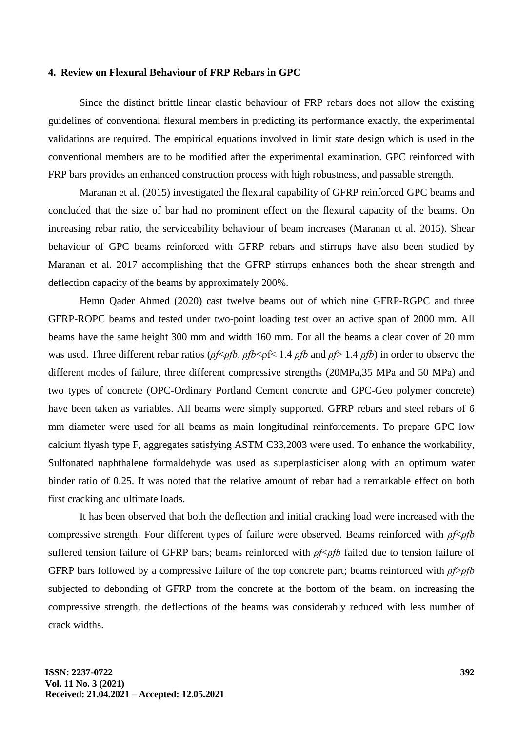### **4. Review on Flexural Behaviour of FRP Rebars in GPC**

Since the distinct brittle linear elastic behaviour of FRP rebars does not allow the existing guidelines of conventional flexural members in predicting its performance exactly, the experimental validations are required. The empirical equations involved in limit state design which is used in the conventional members are to be modified after the experimental examination. GPC reinforced with FRP bars provides an enhanced construction process with high robustness, and passable strength.

Maranan et al. (2015) investigated the flexural capability of GFRP reinforced GPC beams and concluded that the size of bar had no prominent effect on the flexural capacity of the beams. On increasing rebar ratio, the serviceability behaviour of beam increases (Maranan et al. 2015). Shear behaviour of GPC beams reinforced with GFRP rebars and stirrups have also been studied by Maranan et al. 2017 accomplishing that the GFRP stirrups enhances both the shear strength and deflection capacity of the beams by approximately 200%.

Hemn Qader Ahmed (2020) cast twelve beams out of which nine GFRP-RGPC and three GFRP-ROPC beams and tested under two-point loading test over an active span of 2000 mm. All beams have the same height 300 mm and width 160 mm. For all the beams a clear cover of 20 mm was used. Three different rebar ratios (*ρf*<*ρfb*, *ρfb*<ρf< 1.4 *ρfb* and *ρf*> 1.4 *ρfb*) in order to observe the different modes of failure, three different compressive strengths (20MPa,35 MPa and 50 MPa) and two types of concrete (OPC-Ordinary Portland Cement concrete and GPC-Geo polymer concrete) have been taken as variables. All beams were simply supported. GFRP rebars and steel rebars of 6 mm diameter were used for all beams as main longitudinal reinforcements. To prepare GPC low calcium flyash type F, aggregates satisfying ASTM C33,2003 were used. To enhance the workability, Sulfonated naphthalene formaldehyde was used as superplasticiser along with an optimum water binder ratio of 0.25. It was noted that the relative amount of rebar had a remarkable effect on both first cracking and ultimate loads.

It has been observed that both the deflection and initial cracking load were increased with the compressive strength. Four different types of failure were observed. Beams reinforced with *ρf*<*ρfb* suffered tension failure of GFRP bars; beams reinforced with *ρf*<*ρfb* failed due to tension failure of GFRP bars followed by a compressive failure of the top concrete part; beams reinforced with *ρf*>*ρfb* subjected to debonding of GFRP from the concrete at the bottom of the beam. on increasing the compressive strength, the deflections of the beams was considerably reduced with less number of crack widths.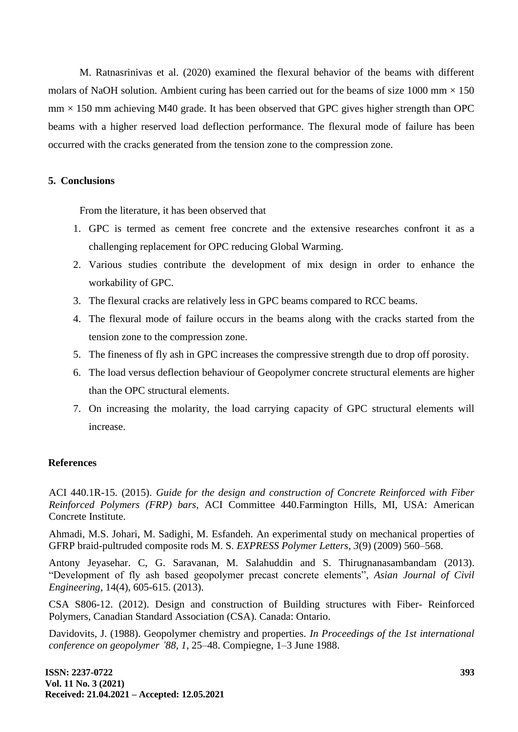M. Ratnasrinivas et al. (2020) examined the flexural behavior of the beams with different molars of NaOH solution. Ambient curing has been carried out for the beams of size 1000 mm  $\times$  150  $mm \times 150$  mm achieving M40 grade. It has been observed that GPC gives higher strength than OPC beams with a higher reserved load deflection performance. The flexural mode of failure has been occurred with the cracks generated from the tension zone to the compression zone.

# **5. Conclusions**

From the literature, it has been observed that

- 1. GPC is termed as cement free concrete and the extensive researches confront it as a challenging replacement for OPC reducing Global Warming.
- 2. Various studies contribute the development of mix design in order to enhance the workability of GPC.
- 3. The flexural cracks are relatively less in GPC beams compared to RCC beams.
- 4. The flexural mode of failure occurs in the beams along with the cracks started from the tension zone to the compression zone.
- 5. The fineness of fly ash in GPC increases the compressive strength due to drop off porosity.
- 6. The load versus deflection behaviour of Geopolymer concrete structural elements are higher than the OPC structural elements.
- 7. On increasing the molarity, the load carrying capacity of GPC structural elements will increase.

### **References**

ACI 440.1R-15. (2015). *Guide for the design and construction of Concrete Reinforced with Fiber Reinforced Polymers (FRP) bars,* ACI Committee 440.Farmington Hills, MI, USA: American Concrete Institute.

Ahmadi, M.S. Johari, M. Sadighi, M. Esfandeh. An experimental study on mechanical properties of GFRP braid-pultruded composite rods M. S. *EXPRESS Polymer Letters, 3*(9) (2009) 560–568.

Antony Jeyasehar. C, G. Saravanan, M. Salahuddin and S. Thirugnanasambandam (2013). "Development of fly ash based geopolymer precast concrete elements", *Asian Journal of Civil Engineering,* 14(4), 605-615. (2013).

CSA S806-12. (2012). Design and construction of Building structures with Fiber- Reinforced Polymers, Canadian Standard Association (CSA). Canada: Ontario.

Davidovits, J. (1988). Geopolymer chemistry and properties. *In Proceedings of the 1st international conference on geopolymer '88, 1,* 25–48. Compiegne, 1–3 June 1988.